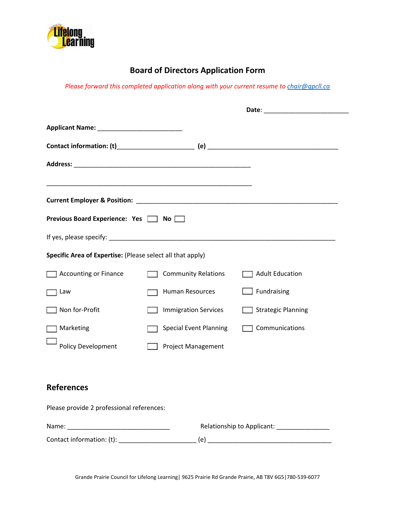

## **Board of Directors Application Form**

*Please forward this completed application along with your current resume to [chair@gpcll.ca](mailto:chair@gpcll.ca)*

| Previous Board Experience: Yes   No                        |                                               |                           |
|------------------------------------------------------------|-----------------------------------------------|---------------------------|
|                                                            |                                               |                           |
| Specific Area of Expertise: (Please select all that apply) |                                               |                           |
| <b>Accounting or Finance</b>                               | <b>Community Relations</b>                    | Adult Education           |
| Law                                                        | <b>Human Resources</b>                        | Fundraising               |
| Non for-Profit                                             | <b>Immigration Services</b>                   | <b>Strategic Planning</b> |
| Marketing                                                  | <b>Special Event Planning</b>                 | Communications            |
| <b>Policy Development</b>                                  | <b>Project Management</b>                     |                           |
|                                                            |                                               |                           |
| <b>References</b>                                          |                                               |                           |
| Please provide 2 professional references:                  |                                               |                           |
|                                                            | Relationship to Applicant: __________________ |                           |
| Contact information: (t): Contact information: (t):        |                                               |                           |

Grande Prairie Council for Lifelong Learning| 9625 Prairie Rd Grande Prairie, AB T8V 6G5|780-539-6077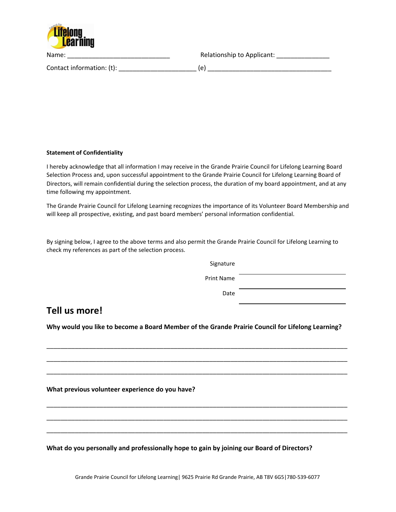

Name: \_\_\_\_\_\_\_\_\_\_\_\_\_\_\_\_\_\_\_\_\_\_\_\_\_\_\_\_\_ Relationship to Applicant: \_\_\_\_\_\_\_\_\_\_\_\_\_\_\_

Contact information: (t): \_\_\_\_\_\_\_\_\_\_\_\_\_\_\_\_\_\_\_\_\_\_ (e) \_\_\_\_\_\_\_\_\_\_\_\_\_\_\_\_\_\_\_\_\_\_\_\_\_\_\_\_\_\_\_\_\_\_\_

## **Statement of Confidentiality**

I hereby acknowledge that all information I may receive in the Grande Prairie Council for Lifelong Learning Board Selection Process and, upon successful appointment to the Grande Prairie Council for Lifelong Learning Board of Directors, will remain confidential during the selection process, the duration of my board appointment, and at any time following my appointment.

The Grande Prairie Council for Lifelong Learning recognizes the importance of its Volunteer Board Membership and will keep all prospective, existing, and past board members' personal information confidential.

By signing below, I agree to the above terms and also permit the Grande Prairie Council for Lifelong Learning to check my references as part of the selection process.

> Signature Print Name Date

## **Tell us more!**

**Why would you like to become a Board Member of the Grande Prairie Council for Lifelong Learning?**

\_\_\_\_\_\_\_\_\_\_\_\_\_\_\_\_\_\_\_\_\_\_\_\_\_\_\_\_\_\_\_\_\_\_\_\_\_\_\_\_\_\_\_\_\_\_\_\_\_\_\_\_\_\_\_\_\_\_\_\_\_\_\_\_\_\_\_\_\_\_\_\_\_\_\_\_\_\_\_\_\_\_\_\_\_

\_\_\_\_\_\_\_\_\_\_\_\_\_\_\_\_\_\_\_\_\_\_\_\_\_\_\_\_\_\_\_\_\_\_\_\_\_\_\_\_\_\_\_\_\_\_\_\_\_\_\_\_\_\_\_\_\_\_\_\_\_\_\_\_\_\_\_\_\_\_\_\_\_\_\_\_\_\_\_\_\_\_\_\_\_ \_\_\_\_\_\_\_\_\_\_\_\_\_\_\_\_\_\_\_\_\_\_\_\_\_\_\_\_\_\_\_\_\_\_\_\_\_\_\_\_\_\_\_\_\_\_\_\_\_\_\_\_\_\_\_\_\_\_\_\_\_\_\_\_\_\_\_\_\_\_\_\_\_\_\_\_\_\_\_\_\_\_\_\_\_

\_\_\_\_\_\_\_\_\_\_\_\_\_\_\_\_\_\_\_\_\_\_\_\_\_\_\_\_\_\_\_\_\_\_\_\_\_\_\_\_\_\_\_\_\_\_\_\_\_\_\_\_\_\_\_\_\_\_\_\_\_\_\_\_\_\_\_\_\_\_\_\_\_\_\_\_\_\_\_\_\_\_\_\_\_

\_\_\_\_\_\_\_\_\_\_\_\_\_\_\_\_\_\_\_\_\_\_\_\_\_\_\_\_\_\_\_\_\_\_\_\_\_\_\_\_\_\_\_\_\_\_\_\_\_\_\_\_\_\_\_\_\_\_\_\_\_\_\_\_\_\_\_\_\_\_\_\_\_\_\_\_\_\_\_\_\_\_\_\_\_ \_\_\_\_\_\_\_\_\_\_\_\_\_\_\_\_\_\_\_\_\_\_\_\_\_\_\_\_\_\_\_\_\_\_\_\_\_\_\_\_\_\_\_\_\_\_\_\_\_\_\_\_\_\_\_\_\_\_\_\_\_\_\_\_\_\_\_\_\_\_\_\_\_\_\_\_\_\_\_\_\_\_\_\_\_

**What previous volunteer experience do you have?**

**What do you personally and professionally hope to gain by joining our Board of Directors?**